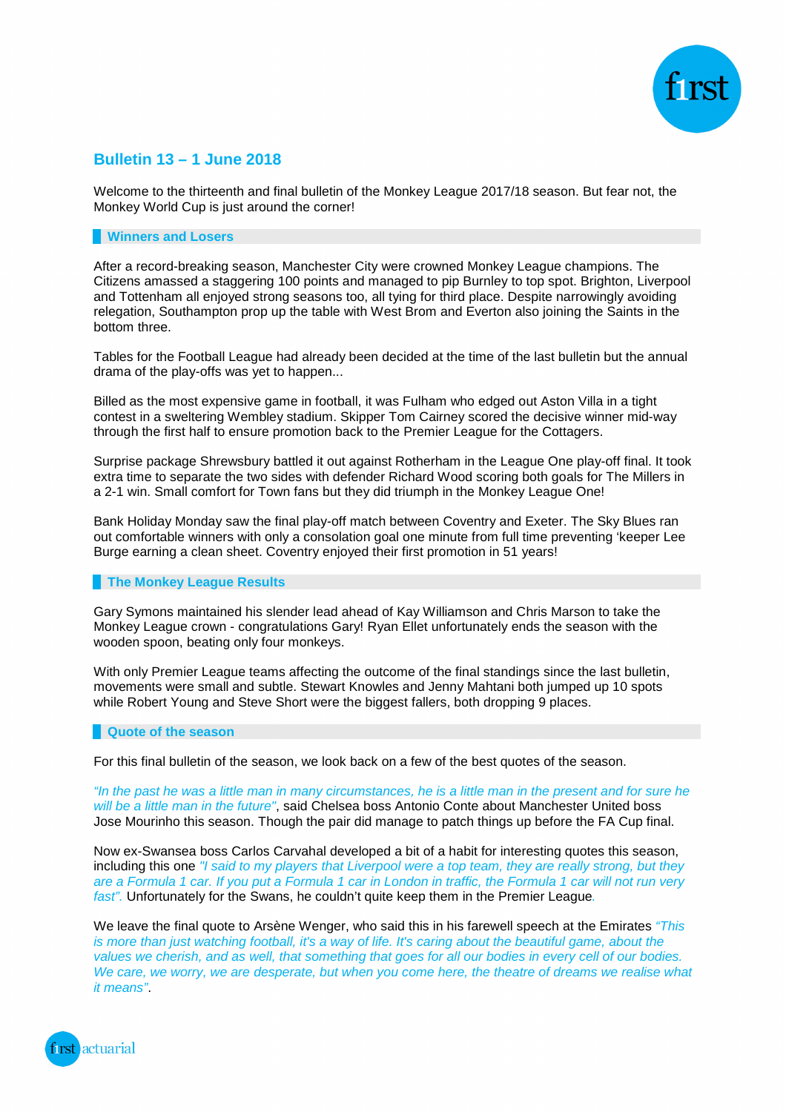

# **Bulletin 13 – 1 June 2018**

Welcome to the thirteenth and final bulletin of the Monkey League 2017/18 season. But fear not, the Monkey World Cup is just around the corner!

# **Winners and Losers**

After a record-breaking season, Manchester City were crowned Monkey League champions. The Citizens amassed a staggering 100 points and managed to pip Burnley to top spot. Brighton, Liverpool and Tottenham all enjoyed strong seasons too, all tying for third place. Despite narrowingly avoiding relegation, Southampton prop up the table with West Brom and Everton also joining the Saints in the bottom three.

Tables for the Football League had already been decided at the time of the last bulletin but the annual drama of the play-offs was yet to happen...

Billed as the most expensive game in football, it was Fulham who edged out Aston Villa in a tight contest in a sweltering Wembley stadium. Skipper Tom Cairney scored the decisive winner mid-way through the first half to ensure promotion back to the Premier League for the Cottagers.

Surprise package Shrewsbury battled it out against Rotherham in the League One play-off final. It took extra time to separate the two sides with defender Richard Wood scoring both goals for The Millers in a 2-1 win. Small comfort for Town fans but they did triumph in the Monkey League One!

Bank Holiday Monday saw the final play-off match between Coventry and Exeter. The Sky Blues ran out comfortable winners with only a consolation goal one minute from full time preventing 'keeper Lee Burge earning a clean sheet. Coventry enjoyed their first promotion in 51 years!

## **The Monkey League Results**

Gary Symons maintained his slender lead ahead of Kay Williamson and Chris Marson to take the Monkey League crown - congratulations Gary! Ryan Ellet unfortunately ends the season with the wooden spoon, beating only four monkeys.

With only Premier League teams affecting the outcome of the final standings since the last bulletin, movements were small and subtle. Stewart Knowles and Jenny Mahtani both jumped up 10 spots while Robert Young and Steve Short were the biggest fallers, both dropping 9 places.

## **Quote of the season**

For this final bulletin of the season, we look back on a few of the best quotes of the season.

"In the past he was a little man in many circumstances, he is a little man in the present and for sure he will be a little man in the future", said Chelsea boss Antonio Conte about Manchester United boss Jose Mourinho this season. Though the pair did manage to patch things up before the FA Cup final.

Now ex-Swansea boss Carlos Carvahal developed a bit of a habit for interesting quotes this season, including this one "I said to my players that Liverpool were a top team, they are really strong, but they are a Formula 1 car. If you put a Formula 1 car in London in traffic, the Formula 1 car will not run very fast". Unfortunately for the Swans, he couldn't quite keep them in the Premier League.

We leave the final quote to Arsène Wenger, who said this in his farewell speech at the Emirates "This" is more than just watching football, it's a way of life. It's caring about the beautiful game, about the values we cherish, and as well, that something that goes for all our bodies in every cell of our bodies. We care, we worry, we are desperate, but when you come here, the theatre of dreams we realise what it means".

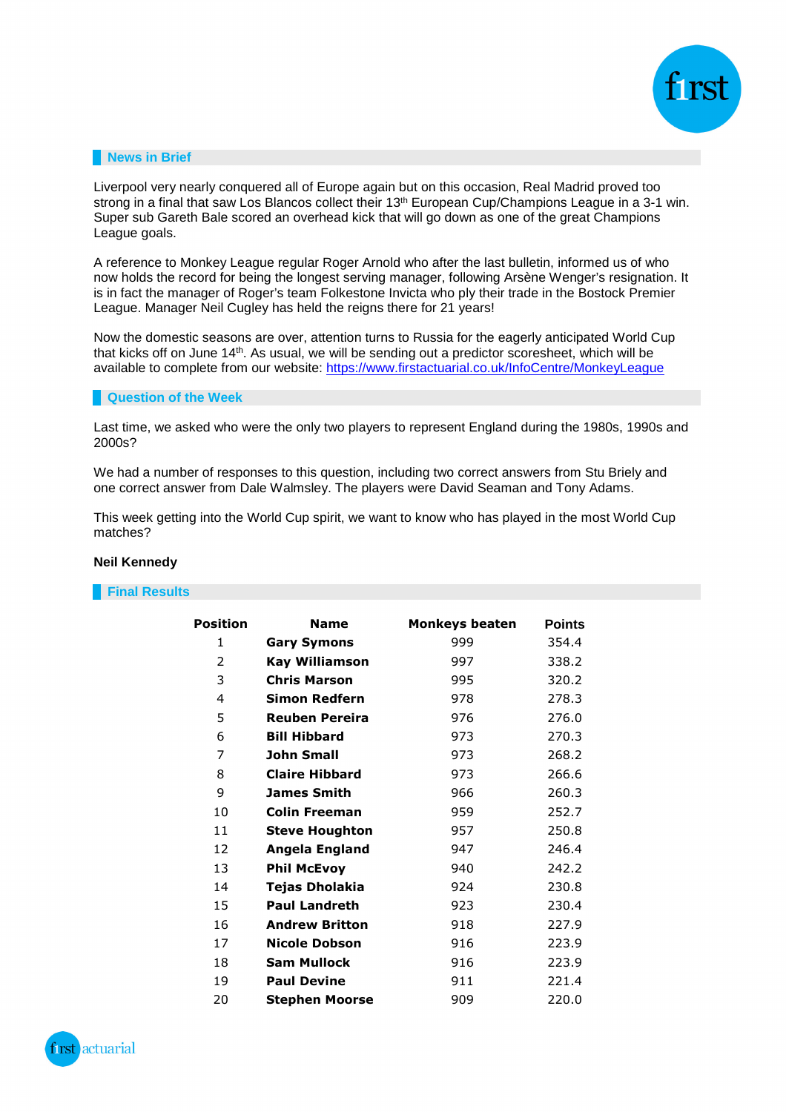

# **News in Brief**

Liverpool very nearly conquered all of Europe again but on this occasion, Real Madrid proved too strong in a final that saw Los Blancos collect their 13<sup>th</sup> European Cup/Champions League in a 3-1 win. Super sub Gareth Bale scored an overhead kick that will go down as one of the great Champions League goals.

A reference to Monkey League regular Roger Arnold who after the last bulletin, informed us of who now holds the record for being the longest serving manager, following Arsène Wenger's resignation. It is in fact the manager of Roger's team Folkestone Invicta who ply their trade in the Bostock Premier League. Manager Neil Cugley has held the reigns there for 21 years!

Now the domestic seasons are over, attention turns to Russia for the eagerly anticipated World Cup that kicks off on June 14th. As usual, we will be sending out a predictor scoresheet, which will be available to complete from our website: https://www.firstactuarial.co.uk/InfoCentre/MonkeyLeague

## **Question of the Week**

Last time, we asked who were the only two players to represent England during the 1980s, 1990s and 2000s?

We had a number of responses to this question, including two correct answers from Stu Briely and one correct answer from Dale Walmsley. The players were David Seaman and Tony Adams.

This week getting into the World Cup spirit, we want to know who has played in the most World Cup matches?

## **Neil Kennedy**

| <b>Position</b> | <b>Name</b>           | <b>Monkeys beaten</b> | <b>Points</b> |
|-----------------|-----------------------|-----------------------|---------------|
| 1               | <b>Gary Symons</b>    | 999                   | 354.4         |
| 2               | <b>Kay Williamson</b> | 997                   | 338.2         |
| 3               | <b>Chris Marson</b>   | 995                   | 320.2         |
| 4               | <b>Simon Redfern</b>  | 978                   | 278.3         |
| 5               | <b>Reuben Pereira</b> | 976                   | 276.0         |
| 6               | <b>Bill Hibbard</b>   | 973                   | 270.3         |
| 7               | <b>John Small</b>     | 973                   | 268.2         |
| 8               | <b>Claire Hibbard</b> | 973                   | 266.6         |
| 9               | <b>James Smith</b>    | 966                   | 260.3         |
| 10              | <b>Colin Freeman</b>  | 959                   | 252.7         |
| 11              | <b>Steve Houghton</b> | 957                   | 250.8         |
| 12              | Angela England        | 947                   | 246.4         |
| 13              | <b>Phil McEvoy</b>    | 940                   | 242.2         |
| 14              | Tejas Dholakia        | 924                   | 230.8         |
| 15              | <b>Paul Landreth</b>  | 923                   | 230.4         |
| 16              | <b>Andrew Britton</b> | 918                   | 227.9         |
| 17              | <b>Nicole Dobson</b>  | 916                   | 223.9         |
| 18              | <b>Sam Mullock</b>    | 916                   | 223.9         |
| 19              | <b>Paul Devine</b>    | 911                   | 221.4         |
| 20              | Stephen Moorse        | 909                   | 220.0         |

# **Final Results**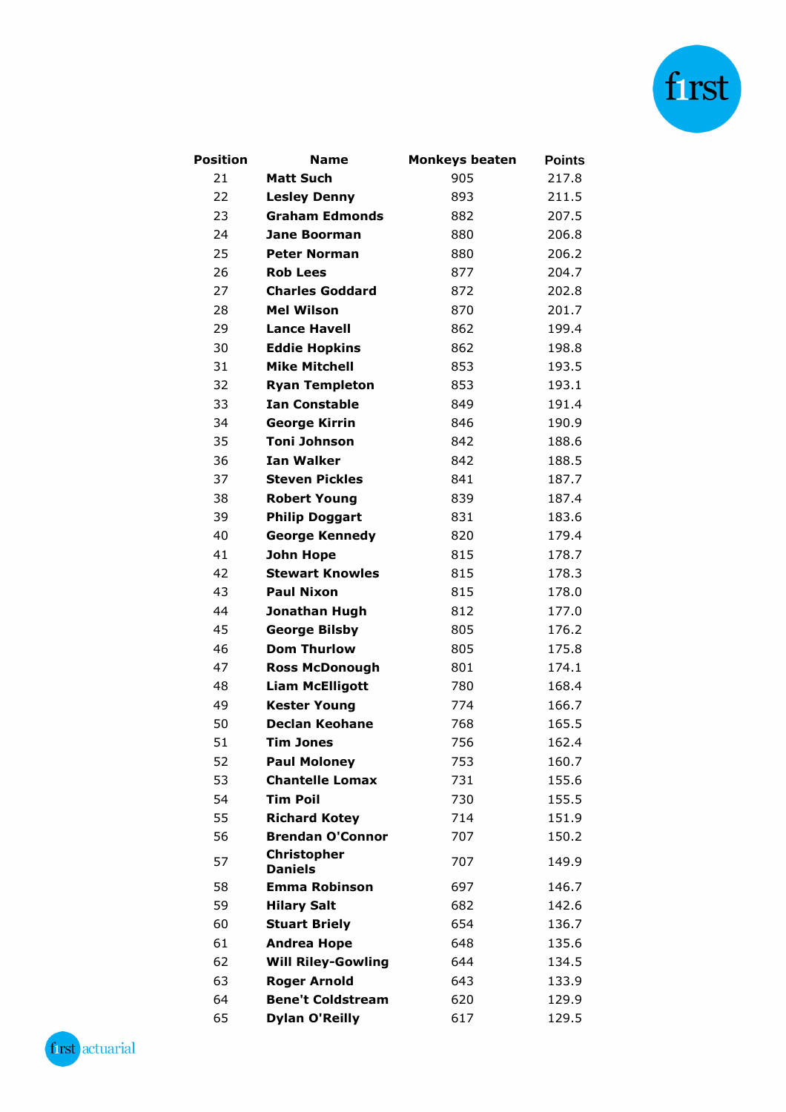

| Position | <b>Name</b>                          | <b>Monkeys beaten</b> | <b>Points</b> |
|----------|--------------------------------------|-----------------------|---------------|
| 21       | <b>Matt Such</b>                     | 905                   | 217.8         |
| 22       | <b>Lesley Denny</b>                  | 893                   | 211.5         |
| 23       | <b>Graham Edmonds</b>                | 882                   | 207.5         |
| 24       | <b>Jane Boorman</b>                  | 880                   | 206.8         |
| 25       | <b>Peter Norman</b>                  | 880                   | 206.2         |
| 26       | <b>Rob Lees</b>                      | 877                   | 204.7         |
| 27       | <b>Charles Goddard</b>               | 872                   | 202.8         |
| 28       | <b>Mel Wilson</b>                    | 870                   | 201.7         |
| 29       | <b>Lance Havell</b>                  | 862                   | 199.4         |
| 30       | <b>Eddie Hopkins</b>                 | 862                   | 198.8         |
| 31       | <b>Mike Mitchell</b>                 | 853                   | 193.5         |
| 32       | <b>Ryan Templeton</b>                | 853                   | 193.1         |
| 33       | <b>Ian Constable</b>                 | 849                   | 191.4         |
| 34       | <b>George Kirrin</b>                 | 846                   | 190.9         |
| 35       | <b>Toni Johnson</b>                  | 842                   | 188.6         |
| 36       | <b>Ian Walker</b>                    | 842                   | 188.5         |
| 37       | <b>Steven Pickles</b>                | 841                   | 187.7         |
| 38       | <b>Robert Young</b>                  | 839                   | 187.4         |
| 39       | <b>Philip Doggart</b>                | 831                   | 183.6         |
| 40       | <b>George Kennedy</b>                | 820                   | 179.4         |
| 41       | John Hope                            | 815                   | 178.7         |
| 42       | <b>Stewart Knowles</b>               | 815                   | 178.3         |
| 43       | <b>Paul Nixon</b>                    | 815                   | 178.0         |
| 44       | Jonathan Hugh                        | 812                   | 177.0         |
| 45       | <b>George Bilsby</b>                 | 805                   | 176.2         |
| 46       | <b>Dom Thurlow</b>                   | 805                   | 175.8         |
| 47       | <b>Ross McDonough</b>                | 801                   | 174.1         |
| 48       | <b>Liam McElligott</b>               | 780                   | 168.4         |
| 49       | <b>Kester Young</b>                  | 774                   | 166.7         |
| 50       | <b>Declan Keohane</b>                | 768                   | 165.5         |
| 51       | <b>Tim Jones</b>                     | 756                   | 162.4         |
| 52       | <b>Paul Moloney</b>                  | 753                   | 160.7         |
| 53       | <b>Chantelle Lomax</b>               | 731                   | 155.6         |
| 54       | <b>Tim Poil</b>                      | 730                   | 155.5         |
| 55       | <b>Richard Kotey</b>                 | 714                   | 151.9         |
| 56       | <b>Brendan O'Connor</b>              | 707                   | 150.2         |
| 57       | <b>Christopher</b><br><b>Daniels</b> | 707                   | 149.9         |
| 58       | <b>Emma Robinson</b>                 | 697                   | 146.7         |
| 59       | <b>Hilary Salt</b>                   | 682                   | 142.6         |
| 60       | <b>Stuart Briely</b>                 | 654                   | 136.7         |
| 61       | <b>Andrea Hope</b>                   | 648                   | 135.6         |
| 62       | <b>Will Riley-Gowling</b>            | 644                   | 134.5         |
| 63       | <b>Roger Arnold</b>                  | 643                   | 133.9         |
| 64       | <b>Bene't Coldstream</b>             | 620                   | 129.9         |
| 65       | <b>Dylan O'Reilly</b>                | 617                   | 129.5         |

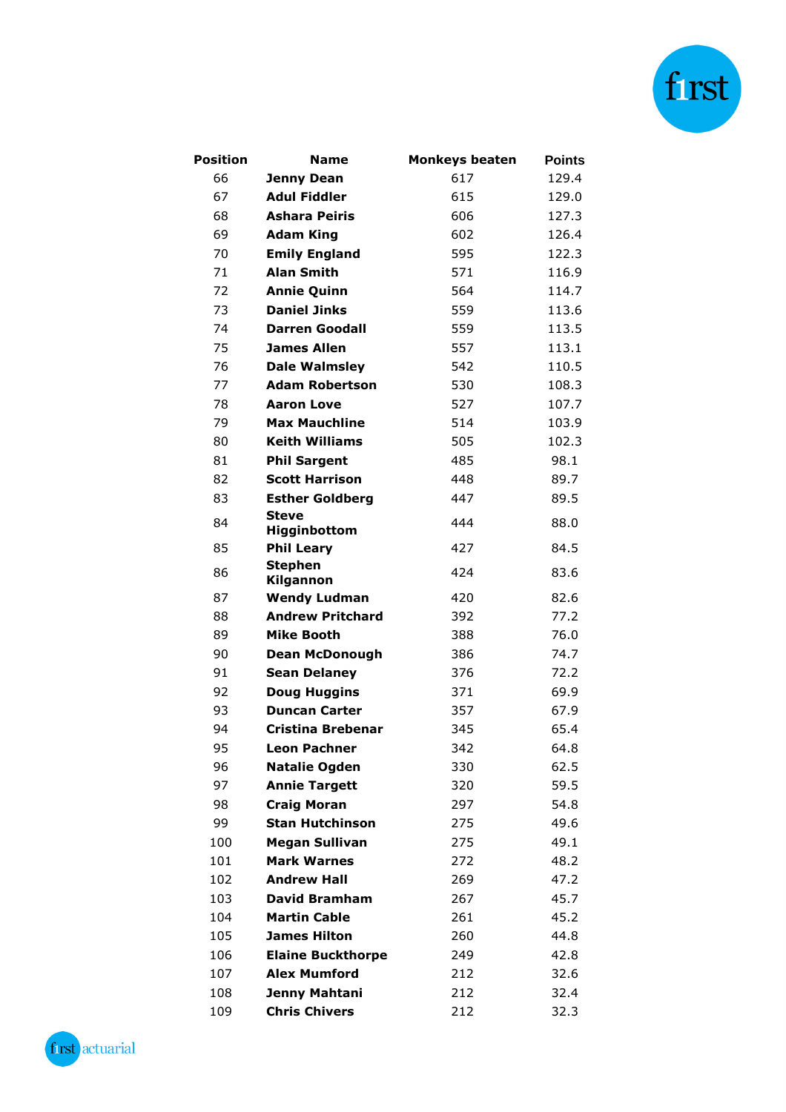

| <b>Position</b> | <b>Name</b>                  | <b>Monkeys beaten</b> | <b>Points</b> |
|-----------------|------------------------------|-----------------------|---------------|
| 66              | <b>Jenny Dean</b>            | 617                   | 129.4         |
| 67              | <b>Adul Fiddler</b>          | 615                   | 129.0         |
| 68              | <b>Ashara Peiris</b>         | 606                   | 127.3         |
| 69              | <b>Adam King</b>             | 602                   | 126.4         |
| 70              | <b>Emily England</b>         | 595                   | 122.3         |
| 71              | <b>Alan Smith</b>            | 571                   | 116.9         |
| 72              | <b>Annie Quinn</b>           | 564                   | 114.7         |
| 73              | <b>Daniel Jinks</b>          | 559                   | 113.6         |
| 74              | <b>Darren Goodall</b>        | 559                   | 113.5         |
| 75              | <b>James Allen</b>           | 557                   | 113.1         |
| 76              | <b>Dale Walmsley</b>         | 542                   | 110.5         |
| 77              | <b>Adam Robertson</b>        | 530                   | 108.3         |
| 78              | <b>Aaron Love</b>            | 527                   | 107.7         |
| 79              | <b>Max Mauchline</b>         | 514                   | 103.9         |
| 80              | <b>Keith Williams</b>        | 505                   | 102.3         |
| 81              | <b>Phil Sargent</b>          | 485                   | 98.1          |
| 82              | <b>Scott Harrison</b>        | 448                   | 89.7          |
| 83              | <b>Esther Goldberg</b>       | 447                   | 89.5          |
| 84              | <b>Steve</b><br>Higginbottom | 444                   | 88.0          |
| 85              | <b>Phil Leary</b>            | 427                   | 84.5          |
| 86              | <b>Stephen</b><br>Kilgannon  | 424                   | 83.6          |
| 87              | <b>Wendy Ludman</b>          | 420                   | 82.6          |
| 88              | <b>Andrew Pritchard</b>      | 392                   | 77.2          |
| 89              | Mike Booth                   | 388                   | 76.0          |
| 90              | <b>Dean McDonough</b>        | 386                   | 74.7          |
| 91              | <b>Sean Delaney</b>          | 376                   | 72.2          |
| 92              | <b>Doug Huggins</b>          | 371                   | 69.9          |
| 93              | <b>Duncan Carter</b>         | 357                   | 67.9          |
| 94              | Cristina Brebenar            | 345                   | 65.4          |
| 95              | <b>Leon Pachner</b>          | 342                   | 64.8          |
| 96              | <b>Natalie Ogden</b>         | 330                   | 62.5          |
| 97              | <b>Annie Targett</b>         | 320                   | 59.5          |
| 98              | <b>Craig Moran</b>           | 297                   | 54.8          |
| 99              | <b>Stan Hutchinson</b>       | 275                   | 49.6          |
| 100             | <b>Megan Sullivan</b>        | 275                   | 49.1          |
| 101             | <b>Mark Warnes</b>           | 272                   | 48.2          |
| 102             | <b>Andrew Hall</b>           | 269                   | 47.2          |
| 103             | David Bramham                | 267                   | 45.7          |
| 104             | <b>Martin Cable</b>          | 261                   | 45.2          |
| 105             | <b>James Hilton</b>          | 260                   | 44.8          |
| 106             | <b>Elaine Buckthorpe</b>     | 249                   | 42.8          |
| 107             | <b>Alex Mumford</b>          | 212                   | 32.6          |
| 108             | Jenny Mahtani                | 212                   | 32.4          |
| 109             | <b>Chris Chivers</b>         | 212                   | 32.3          |